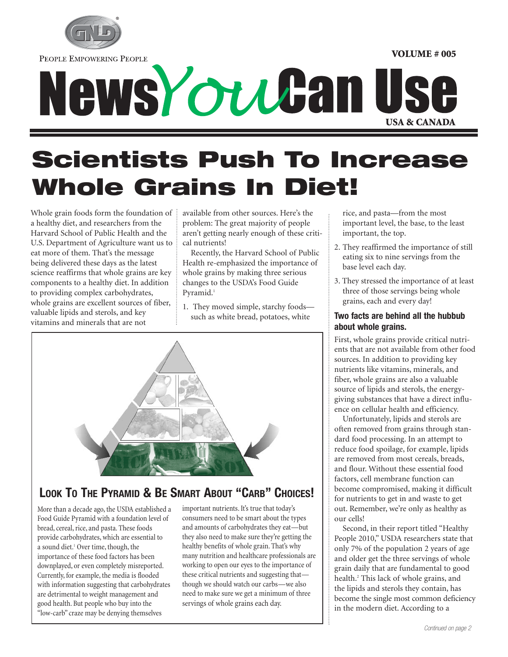

PEOPLE EMPOWERING PEOPLE

# NewsYoutan Use

### **Scientists Push To Increase Whole Grains In Diet!**

Whole grain foods form the foundation of a healthy diet, and researchers from the Harvard School of Public Health and the U.S. Department of Agriculture want us to eat more of them. That's the message being delivered these days as the latest science reaffirms that whole grains are key components to a healthy diet. In addition to providing complex carbohydrates, whole grains are excellent sources of fiber, valuable lipids and sterols, and key vitamins and minerals that are not

available from other sources. Here's the problem: The great majority of people aren't getting nearly enough of these critical nutrients!

Recently, the Harvard School of Public Health re-emphasized the importance of whole grains by making three serious changes to the USDA's Food Guide Pyramid.<sup>1</sup>

1. They moved simple, starchy foods such as white bread, potatoes, white



### **LOOK TO THE PYRAMID & BE SMART ABOUT "CARB" CHOICES!**

More than a decade ago, the USDA established a Food Guide Pyramid with a foundation level of bread, cereal, rice, and pasta. These foods provide carbohydrates, which are essential to a sound diet.<sup>1</sup> Over time, though, the importance of these food factors has been downplayed, or even completely misreported. Currently, for example, the media is flooded with information suggesting that carbohydrates are detrimental to weight management and good health. But people who buy into the "low-carb" craze may be denying themselves

important nutrients. It's true that today's consumers need to be smart about the types and amounts of carbohydrates they eat—but they also need to make sure they're getting the healthy benefits of whole grain. That's why many nutrition and healthcare professionals are working to open our eyes to the importance of these critical nutrients and suggesting that though we should watch our carbs—we also need to make sure we get a minimum of three servings of whole grains each day.

rice, and pasta—from the most important level, the base, to the least important, the top.

**VOLUME # 005**

- 2. They reaffirmed the importance of still eating six to nine servings from the base level each day.
- 3. They stressed the importance of at least three of those servings being whole grains, each and every day!

### **Two facts are behind all the hubbub about whole grains.**

First, whole grains provide critical nutrients that are not available from other food sources. In addition to providing key nutrients like vitamins, minerals, and fiber, whole grains are also a valuable source of lipids and sterols, the energygiving substances that have a direct influence on cellular health and efficiency.

Unfortunately, lipids and sterols are often removed from grains through standard food processing. In an attempt to reduce food spoilage, for example, lipids are removed from most cereals, breads, and flour. Without these essential food factors, cell membrane function can become compromised, making it difficult for nutrients to get in and waste to get out. Remember, we're only as healthy as our cells!

Second, in their report titled "Healthy People 2010," USDA researchers state that only 7% of the population 2 years of age and older get the three servings of whole grain daily that are fundamental to good health.2 This lack of whole grains, and the lipids and sterols they contain, has become the single most common deficiency in the modern diet. According to a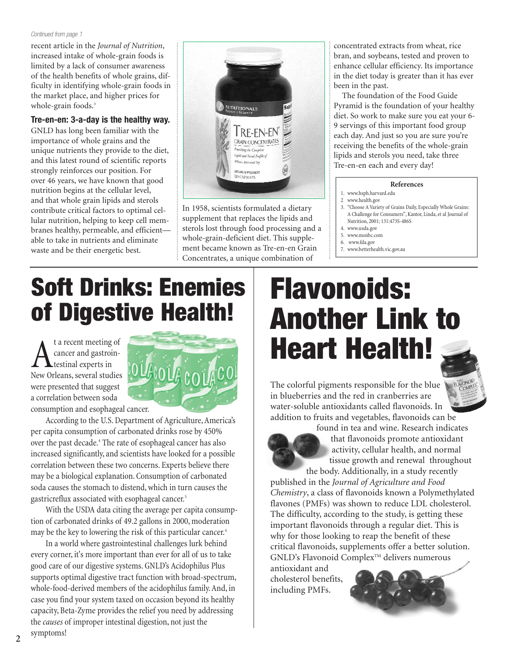#### *Continued from page 1*

recent article in the *Journal of Nutrition*, increased intake of whole-grain foods is limited by a lack of consumer awareness of the health benefits of whole grains, difficulty in identifying whole-grain foods in the market place, and higher prices for whole-grain foods.<sup>3</sup>

#### **Tre-en-en: 3-a-day is the healthy way.**

GNLD has long been familiar with the importance of whole grains and the unique nutrients they provide to the diet, and this latest round of scientific reports strongly reinforces our position. For over 46 years, we have known that good nutrition begins at the cellular level, and that whole grain lipids and sterols contribute critical factors to optimal cellular nutrition, helping to keep cell membranes healthy, permeable, and efficient able to take in nutrients and eliminate waste and be their energetic best.



In 1958, scientists formulated a dietary supplement that replaces the lipids and sterols lost through food processing and a whole-grain-deficient diet. This supplement became known as Tre-en-en Grain Concentrates, a unique combination of

concentrated extracts from wheat, rice bran, and soybeans, tested and proven to enhance cellular efficiency. Its importance in the diet today is greater than it has ever been in the past.

The foundation of the Food Guide Pyramid is the foundation of your healthy diet. So work to make sure you eat your 6- 9 servings of this important food group each day. And just so you are sure you're receiving the benefits of the whole-grain lipids and sterols you need, take three Tre-en-en each and every day!

#### **References**

- 1. www.hsph.harvard.edu
- 2 www.health.gov
- 3. "Choose A Variety of Grains Daily, Especially Whole Grains: A Challenge for Consumers", Kantor, Linda, et al Journal of Nutrition, 2001; 131:473S-486S
- 4. www.usda.gov
- 5. www.msnbc.com
- 6. www.fda.gov
- 7. www.betterhealth.vic.gov.au

### **Soft Drinks: Enemies of Digestive Health!**

**A** ta recent meeting of<br>testinal experts in<br>New Orleans, several studies cancer and gastrointestinal experts in were presented that suggest a correlation between soda consumption and esophageal cancer.



According to the U.S. Department of Agriculture, America's per capita consumption of carbonated drinks rose by 450% over the past decade.<sup>4</sup> The rate of esophageal cancer has also increased significantly, and scientists have looked for a possible correlation between these two concerns. Experts believe there may be a biological explanation. Consumption of carbonated soda causes the stomach to distend, which in turn causes the gastricreflux associated with esophageal cancer.<sup>5</sup>

With the USDA data citing the average per capita consumption of carbonated drinks of 49.2 gallons in 2000, moderation may be the key to lowering the risk of this particular cancer.<sup>4</sup>

In a world where gastrointestinal challenges lurk behind every corner, it's more important than ever for all of us to take good care of our digestive systems. GNLD's Acidophilus Plus supports optimal digestive tract function with broad-spectrum, whole-food-derived members of the acidophilus family. And, in case you find your system taxed on occasion beyond its healthy capacity, Beta-Zyme provides the relief you need by addressing the *causes* of improper intestinal digestion, not just the

### **Flavonoids: Another Link to Heart Health!**





found in tea and wine. Research indicates that flavonoids promote antioxidant activity, cellular health, and normal tissue growth and renewal throughout the body. Additionally, in a study recently

published in the *Journal of Agriculture and Food Chemistry*, a class of flavonoids known a Polymethylated flavones (PMFs) was shown to reduce LDL cholesterol. The difficulty, according to the study, is getting these important flavonoids through a regular diet. This is why for those looking to reap the benefit of these critical flavonoids, supplements offer a better solution. GNLD's Flavonoid Complex<sup>™</sup> delivers numerous

antioxidant and cholesterol benefits, including PMFs.



symptoms!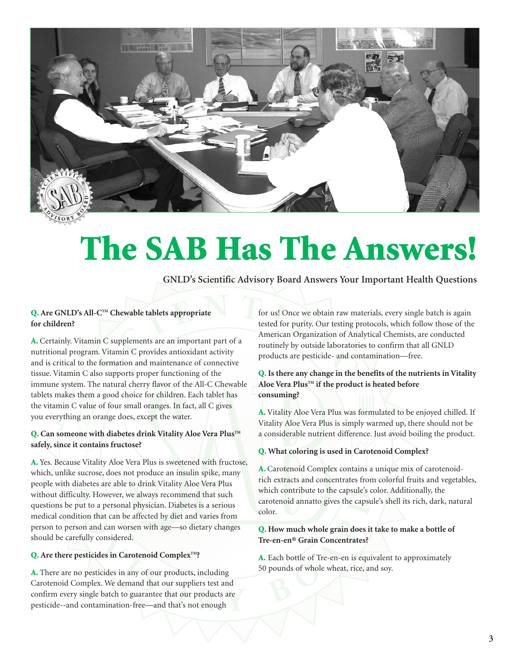

### **The SAB Has The Answers!**

**GNLD's Scientific Advisory Board Answers Your Important Health Questions**

### **Q. Are GNLD's All-CTM Chewable tablets appropriate for children?**

**A.** Certainly. Vitamin C supplements are an important part of a nutritional program. Vitamin C provides antioxidant activity and is critical to the formation and maintenance of connective tissue. Vitamin C also supports proper functioning of the immune system. The natural cherry flavor of the All-C Chewable tablets makes them a good choice for children. Each tablet has the vitamin C value of four small oranges. In fact, all C gives you everything an orange does, except the water.

### **Q.** Can someone with diabetes drink Vitality Aloe Vera Plus™ **safely, since it contains fructose?**

**A.** Yes. Because Vitality Aloe Vera Plus is sweetened with fructose, which, unlike sucrose, does not produce an insulin spike, many people with diabetes are able to drink Vitality Aloe Vera Plus without difficulty. However, we always recommend that such questions be put to a personal physician. Diabetes is a serious medical condition that can be affected by diet and varies from person to person and can worsen with age—so dietary changes should be carefully considered.

### **Q.** Are there pesticides in Carotenoid Complex™?

**A.** There are no pesticides in any of our products, including Carotenoid Complex. We demand that our suppliers test and confirm every single batch to guarantee that our products are pesticide--and contamination-free—and that's not enough

for us! Once we obtain raw materials, every single batch is again tested for purity. Our testing protocols, which follow those of the American Organization of Analytical Chemists, are conducted routinely by outside laboratories to confirm that all GNLD products are pesticide- and contamination—free.

### **Q. Is there any change in the benefits of the nutrients in Vitality** Aloe Vera Plus<sup>™</sup> if the product is heated before **consuming?**

**A.** Vitality Aloe Vera Plus was formulated to be enjoyed chilled. If Vitality Aloe Vera Plus is simply warmed up, there should not be a considerable nutrient difference. Just avoid boiling the product.

### **Q. What coloring is used in Carotenoid Complex?**

**A.** Carotenoid Complex contains a unique mix of carotenoidrich extracts and concentrates from colorful fruits and vegetables, which contribute to the capsule's color. Additionally, the carotenoid annatto gives the capsule's shell its rich, dark, natural color.

### **Q. How much whole grain does it take to make a bottle of Tre-en-en® Grain Concentrates?**

**A.** Each bottle of Tre-en-en is equivalent to approximately 50 pounds of whole wheat, rice, and soy.